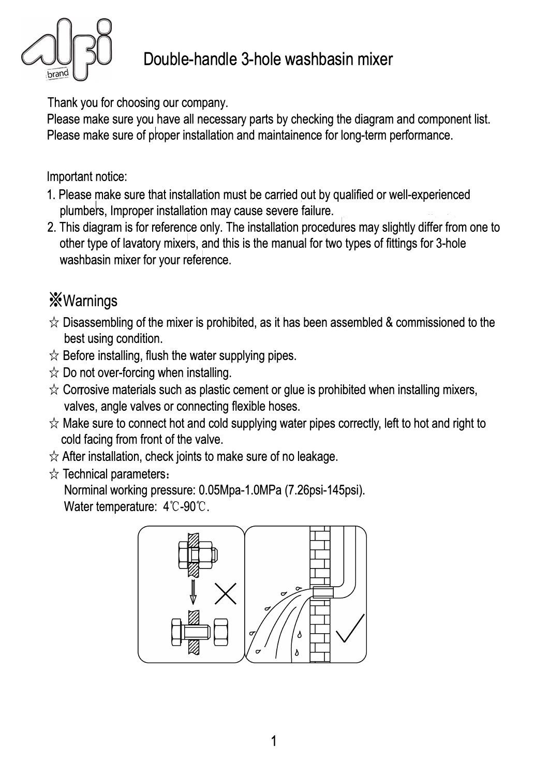

## Double-handle 3-hole washbasin mixer

Thank you for choosing our company.

Please make sure you have all necessary parts by checking the diagram and component list. Please make sure of proper installation and maintainence for long-term performance.

Important notice:

- 1. Please make sure that installation must be carried out by qualified or well-experienced plumbers, Improper installation may cause severe failure.
- 2. This diagram is for reference only. The installation procedures may slightly differ from one to other type of lavatory mixers, and this is the manual for two types of fittings for 3-hole washbasin mixer for your reference.

## *<u>Warnings</u>*

- $\hat{\varphi}$  Disassembling of the mixer is prohibited, as it has been assembled & commissioned to the best using condition.
- $\hat{\mathbf{x}}$  Before installing, flush the water supplying pipes.
- $\hat{\mathbb{X}}$  Do not over-forcing when installing.
- $\hat{\mathcal{R}}$  Corrosive materials such as plastic cement or glue is prohibited when installing mixers, valves, angle valves or connecting flexible hoses.
- $\hat{\varphi}$  Make sure to connect hot and cold supplying water pipes correctly, left to hot and right to cold facing from front of the valve.
- $\hat{\mathcal{R}}$  After installation, check joints to make sure of no leakage.
- $\hat{\mathbf{x}}$  Technical parameters:

Norminal working pressure: 0.05Mpa-1.0MPa (7.26psi-145psi). Water temperature: 4°C-90°C.

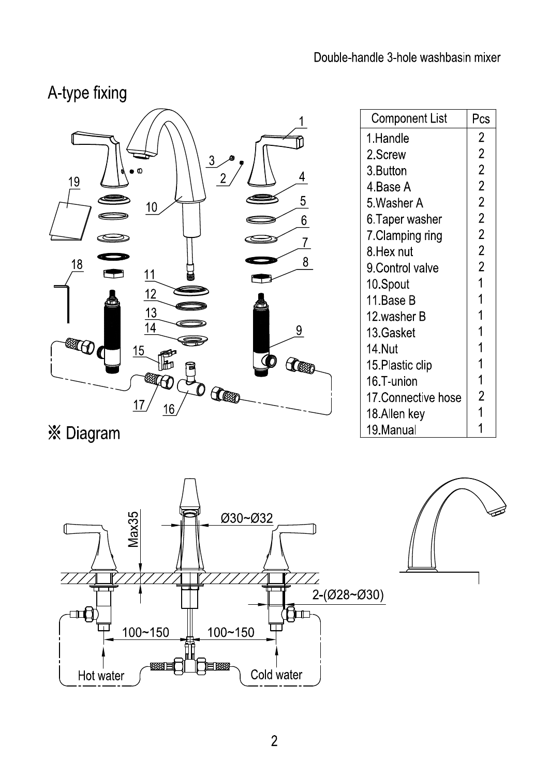$\overline{2}$ 

 $\overline{2}$ 

 $\overline{2}$ 

 $\overline{2}$ 

 $\overline{2}$ 

 $\overline{2}$ 

 $\overline{2}$ 

 $\overline{2}$ 

 $\overline{2}$ 

 $\overline{1}$ 

 $\overline{1}$ 

 $\overline{1}$ 

 $\overline{1}$ 

1

 $\overline{1}$ 

 $\overline{1}$ 

 $\overline{2}$ 

 $\overline{1}$ 

 $\mathbf 1$ 

## A-type fixing



※ Diagram